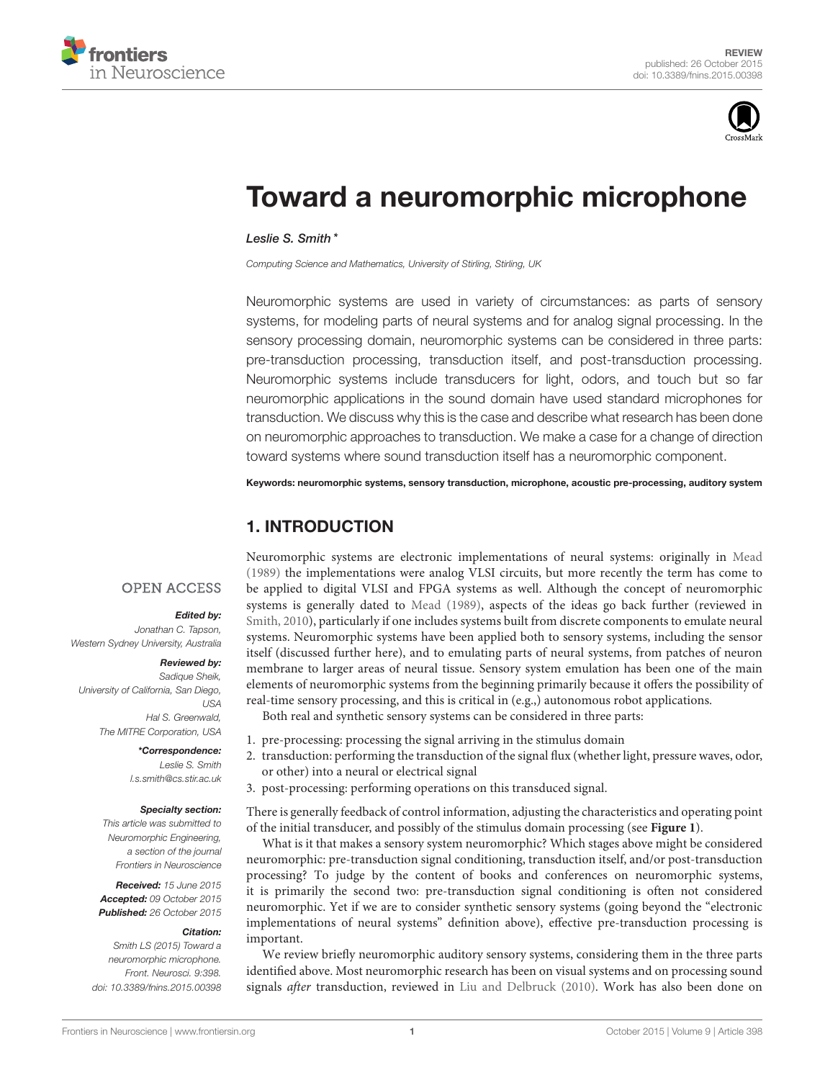



# [Toward a neuromorphic microphone](http://journal.frontiersin.org/article/10.3389/fnins.2015.00398/abstract)

[Leslie S. Smith](http://loop.frontiersin.org/people/29381/overview)\*

*Computing Science and Mathematics, University of Stirling, Stirling, UK*

Neuromorphic systems are used in variety of circumstances: as parts of sensory systems, for modeling parts of neural systems and for analog signal processing. In the sensory processing domain, neuromorphic systems can be considered in three parts: pre-transduction processing, transduction itself, and post-transduction processing. Neuromorphic systems include transducers for light, odors, and touch but so far neuromorphic applications in the sound domain have used standard microphones for transduction. We discuss why this is the case and describe what research has been done on neuromorphic approaches to transduction. We make a case for a change of direction toward systems where sound transduction itself has a neuromorphic component.

Keywords: neuromorphic systems, sensory transduction, microphone, acoustic pre-processing, auditory system

#### 1. INTRODUCTION

#### **OPEN ACCESS**

#### Edited by:

*Jonathan C. Tapson, Western Sydney University, Australia*

#### Reviewed by:

*Sadique Sheik, University of California, San Diego, USA Hal S. Greenwald, The MITRE Corporation, USA*

> \*Correspondence: *Leslie S. Smith [l.s.smith@cs.stir.ac.uk](mailto:l.s.smith@cs.stir.ac.uk)*

#### Specialty section:

*This article was submitted to Neuromorphic Engineering, a section of the journal Frontiers in Neuroscience*

Received: *15 June 2015* Accepted: *09 October 2015* Published: *26 October 2015*

#### Citation:

*Smith LS (2015) Toward a neuromorphic microphone. Front. Neurosci. 9:398. doi: [10.3389/fnins.2015.00398](http://dx.doi.org/10.3389/fnins.2015.00398)* Neuromorphic systems are electronic implementations of neural systems: originally in [Mead](#page-9-0) [\(1989\)](#page-9-0) the implementations were analog VLSI circuits, but more recently the term has come to be applied to digital VLSI and FPGA systems as well. Although the concept of neuromorphic systems is generally dated to [Mead \(1989\)](#page-9-0), aspects of the ideas go back further (reviewed in [Smith, 2010\)](#page-9-1), particularly if one includes systems built from discrete components to emulate neural systems. Neuromorphic systems have been applied both to sensory systems, including the sensor itself (discussed further here), and to emulating parts of neural systems, from patches of neuron membrane to larger areas of neural tissue. Sensory system emulation has been one of the main elements of neuromorphic systems from the beginning primarily because it offers the possibility of real-time sensory processing, and this is critical in (e.g.,) autonomous robot applications.

Both real and synthetic sensory systems can be considered in three parts:

- 1. pre-processing: processing the signal arriving in the stimulus domain
- 2. transduction: performing the transduction of the signal flux (whether light, pressure waves, odor, or other) into a neural or electrical signal
- 3. post-processing: performing operations on this transduced signal.

There is generally feedback of control information, adjusting the characteristics and operating point of the initial transducer, and possibly of the stimulus domain processing (see **[Figure 1](#page-1-0)**).

What is it that makes a sensory system neuromorphic? Which stages above might be considered neuromorphic: pre-transduction signal conditioning, transduction itself, and/or post-transduction processing? To judge by the content of books and conferences on neuromorphic systems, it is primarily the second two: pre-transduction signal conditioning is often not considered neuromorphic. Yet if we are to consider synthetic sensory systems (going beyond the "electronic implementations of neural systems" definition above), effective pre-transduction processing is important.

We review briefly neuromorphic auditory sensory systems, considering them in the three parts identified above. Most neuromorphic research has been on visual systems and on processing sound signals after transduction, reviewed in [Liu and Delbruck \(2010\)](#page-8-0). Work has also been done on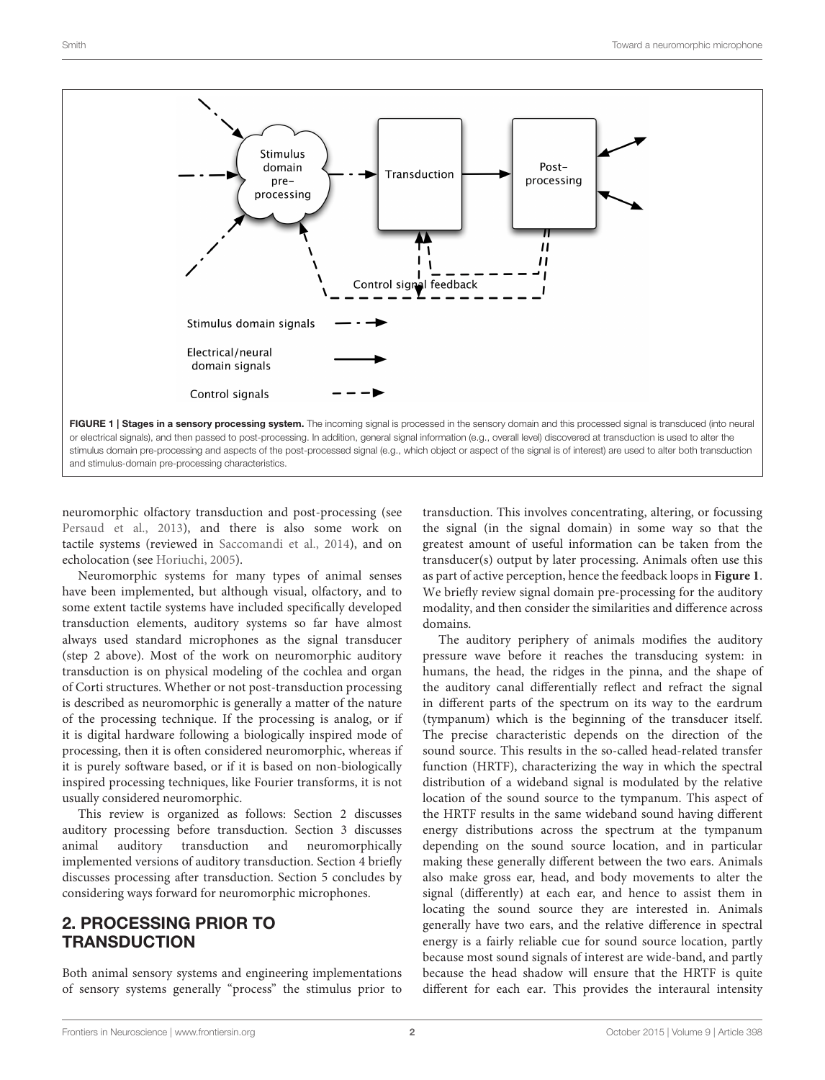

<span id="page-1-0"></span>neuromorphic olfactory transduction and post-processing (see [Persaud et al., 2013\)](#page-9-2), and there is also some work on tactile systems (reviewed in [Saccomandi et al., 2014\)](#page-9-3), and on echolocation (see [Horiuchi, 2005\)](#page-8-1).

Neuromorphic systems for many types of animal senses have been implemented, but although visual, olfactory, and to some extent tactile systems have included specifically developed transduction elements, auditory systems so far have almost always used standard microphones as the signal transducer (step 2 above). Most of the work on neuromorphic auditory transduction is on physical modeling of the cochlea and organ of Corti structures. Whether or not post-transduction processing is described as neuromorphic is generally a matter of the nature of the processing technique. If the processing is analog, or if it is digital hardware following a biologically inspired mode of processing, then it is often considered neuromorphic, whereas if it is purely software based, or if it is based on non-biologically inspired processing techniques, like Fourier transforms, it is not usually considered neuromorphic.

This review is organized as follows: Section [2](#page-1-1) discusses auditory processing before transduction. Section [3](#page-2-0) discusses animal auditory transduction and neuromorphically implemented versions of auditory transduction. Section [4](#page-6-0) briefly discusses processing after transduction. Section [5](#page-7-0) concludes by considering ways forward for neuromorphic microphones.

## <span id="page-1-1"></span>2. PROCESSING PRIOR TO **TRANSDUCTION**

Both animal sensory systems and engineering implementations of sensory systems generally "process" the stimulus prior to

transduction. This involves concentrating, altering, or focussing the signal (in the signal domain) in some way so that the greatest amount of useful information can be taken from the transducer(s) output by later processing. Animals often use this as part of active perception, hence the feedback loops in **[Figure 1](#page-1-0)**. We briefly review signal domain pre-processing for the auditory modality, and then consider the similarities and difference across domains.

The auditory periphery of animals modifies the auditory pressure wave before it reaches the transducing system: in humans, the head, the ridges in the pinna, and the shape of the auditory canal differentially reflect and refract the signal in different parts of the spectrum on its way to the eardrum (tympanum) which is the beginning of the transducer itself. The precise characteristic depends on the direction of the sound source. This results in the so-called head-related transfer function (HRTF), characterizing the way in which the spectral distribution of a wideband signal is modulated by the relative location of the sound source to the tympanum. This aspect of the HRTF results in the same wideband sound having different energy distributions across the spectrum at the tympanum depending on the sound source location, and in particular making these generally different between the two ears. Animals also make gross ear, head, and body movements to alter the signal (differently) at each ear, and hence to assist them in locating the sound source they are interested in. Animals generally have two ears, and the relative difference in spectral energy is a fairly reliable cue for sound source location, partly because most sound signals of interest are wide-band, and partly because the head shadow will ensure that the HRTF is quite different for each ear. This provides the interaural intensity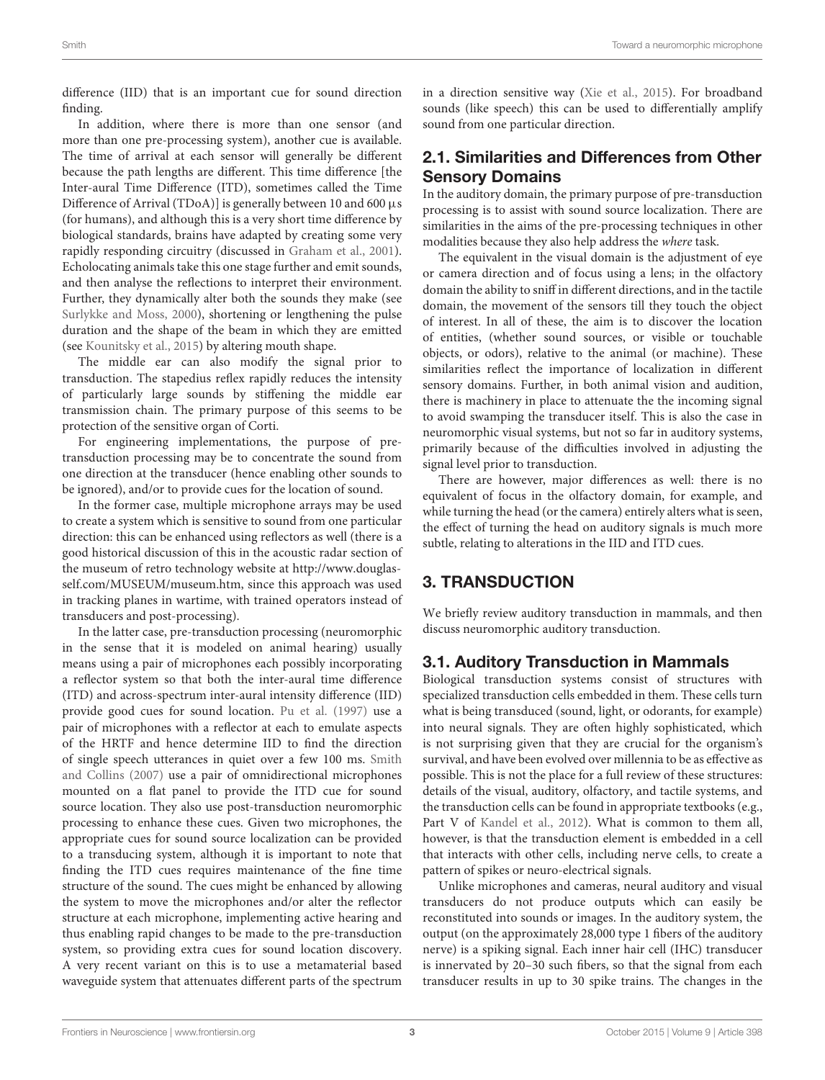difference (IID) that is an important cue for sound direction finding.

In addition, where there is more than one sensor (and more than one pre-processing system), another cue is available. The time of arrival at each sensor will generally be different because the path lengths are different. This time difference [the Inter-aural Time Difference (ITD), sometimes called the Time Difference of Arrival (TDoA)] is generally between 10 and 600  $\mu$ s (for humans), and although this is a very short time difference by biological standards, brains have adapted by creating some very rapidly responding circuitry (discussed in [Graham et al., 2001\)](#page-8-2). Echolocating animals take this one stage further and emit sounds, and then analyse the reflections to interpret their environment. Further, they dynamically alter both the sounds they make (see [Surlykke and Moss, 2000\)](#page-9-4), shortening or lengthening the pulse duration and the shape of the beam in which they are emitted (see [Kounitsky et al., 2015\)](#page-8-3) by altering mouth shape.

The middle ear can also modify the signal prior to transduction. The stapedius reflex rapidly reduces the intensity of particularly large sounds by stiffening the middle ear transmission chain. The primary purpose of this seems to be protection of the sensitive organ of Corti.

For engineering implementations, the purpose of pretransduction processing may be to concentrate the sound from one direction at the transducer (hence enabling other sounds to be ignored), and/or to provide cues for the location of sound.

In the former case, multiple microphone arrays may be used to create a system which is sensitive to sound from one particular direction: this can be enhanced using reflectors as well (there is a good historical discussion of this in the acoustic radar section of the museum of retro technology website at [http://www.douglas](http://www.douglas-self.com/MUSEUM/museum.htm)[self.com/MUSEUM/museum.htm,](http://www.douglas-self.com/MUSEUM/museum.htm) since this approach was used in tracking planes in wartime, with trained operators instead of transducers and post-processing).

In the latter case, pre-transduction processing (neuromorphic in the sense that it is modeled on animal hearing) usually means using a pair of microphones each possibly incorporating a reflector system so that both the inter-aural time difference (ITD) and across-spectrum inter-aural intensity difference (IID) provide good cues for sound location. [Pu et al. \(1997\)](#page-9-5) use a pair of microphones with a reflector at each to emulate aspects of the HRTF and hence determine IID to find the direction of single speech utterances in quiet over a few 100 ms. Smith and Collins [\(2007\)](#page-9-6) use a pair of omnidirectional microphones mounted on a flat panel to provide the ITD cue for sound source location. They also use post-transduction neuromorphic processing to enhance these cues. Given two microphones, the appropriate cues for sound source localization can be provided to a transducing system, although it is important to note that finding the ITD cues requires maintenance of the fine time structure of the sound. The cues might be enhanced by allowing the system to move the microphones and/or alter the reflector structure at each microphone, implementing active hearing and thus enabling rapid changes to be made to the pre-transduction system, so providing extra cues for sound location discovery. A very recent variant on this is to use a metamaterial based waveguide system that attenuates different parts of the spectrum in a direction sensitive way [\(Xie et al., 2015\)](#page-9-7). For broadband sounds (like speech) this can be used to differentially amplify sound from one particular direction.

#### 2.1. Similarities and Differences from Other Sensory Domains

In the auditory domain, the primary purpose of pre-transduction processing is to assist with sound source localization. There are similarities in the aims of the pre-processing techniques in other modalities because they also help address the where task.

The equivalent in the visual domain is the adjustment of eye or camera direction and of focus using a lens; in the olfactory domain the ability to sniff in different directions, and in the tactile domain, the movement of the sensors till they touch the object of interest. In all of these, the aim is to discover the location of entities, (whether sound sources, or visible or touchable objects, or odors), relative to the animal (or machine). These similarities reflect the importance of localization in different sensory domains. Further, in both animal vision and audition, there is machinery in place to attenuate the the incoming signal to avoid swamping the transducer itself. This is also the case in neuromorphic visual systems, but not so far in auditory systems, primarily because of the difficulties involved in adjusting the signal level prior to transduction.

There are however, major differences as well: there is no equivalent of focus in the olfactory domain, for example, and while turning the head (or the camera) entirely alters what is seen, the effect of turning the head on auditory signals is much more subtle, relating to alterations in the IID and ITD cues.

## <span id="page-2-0"></span>3. TRANSDUCTION

We briefly review auditory transduction in mammals, and then discuss neuromorphic auditory transduction.

#### <span id="page-2-1"></span>3.1. Auditory Transduction in Mammals

Biological transduction systems consist of structures with specialized transduction cells embedded in them. These cells turn what is being transduced (sound, light, or odorants, for example) into neural signals. They are often highly sophisticated, which is not surprising given that they are crucial for the organism's survival, and have been evolved over millennia to be as effective as possible. This is not the place for a full review of these structures: details of the visual, auditory, olfactory, and tactile systems, and the transduction cells can be found in appropriate textbooks (e.g., Part V of [Kandel et al., 2012\)](#page-8-4). What is common to them all, however, is that the transduction element is embedded in a cell that interacts with other cells, including nerve cells, to create a pattern of spikes or neuro-electrical signals.

Unlike microphones and cameras, neural auditory and visual transducers do not produce outputs which can easily be reconstituted into sounds or images. In the auditory system, the output (on the approximately 28,000 type 1 fibers of the auditory nerve) is a spiking signal. Each inner hair cell (IHC) transducer is innervated by 20–30 such fibers, so that the signal from each transducer results in up to 30 spike trains. The changes in the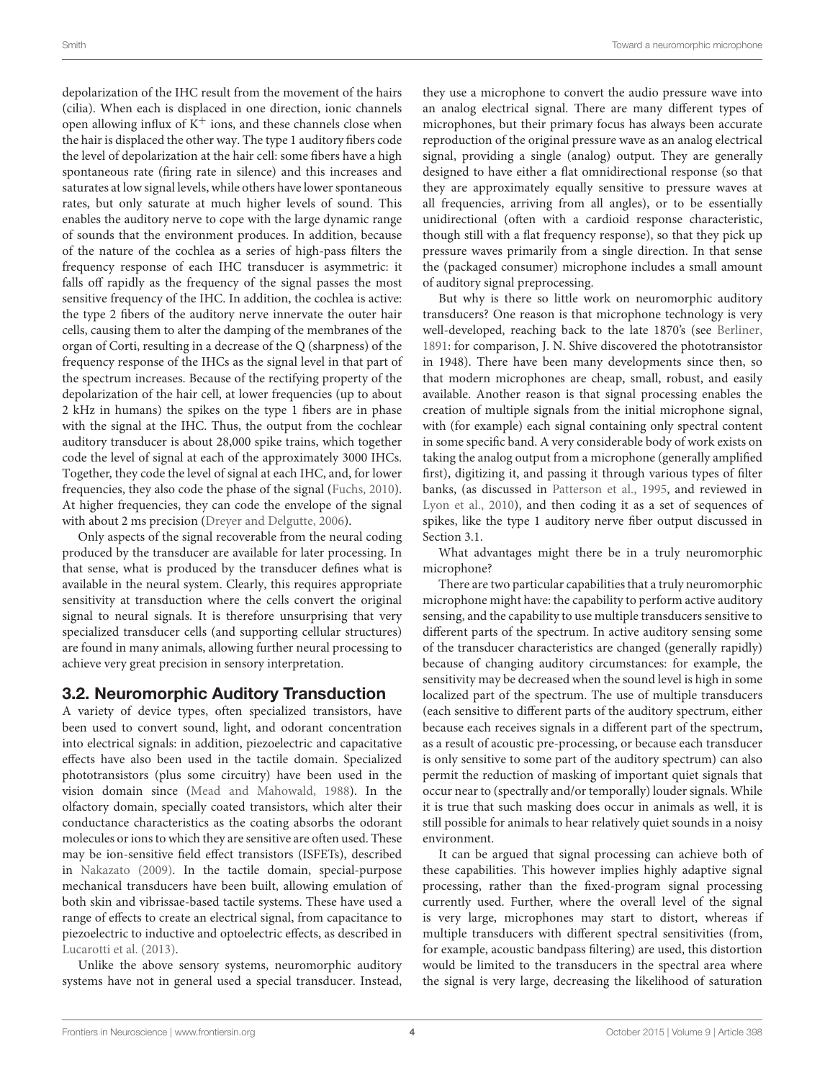depolarization of the IHC result from the movement of the hairs (cilia). When each is displaced in one direction, ionic channels open allowing influx of  $K^+$  ions, and these channels close when the hair is displaced the other way. The type 1 auditory fibers code the level of depolarization at the hair cell: some fibers have a high spontaneous rate (firing rate in silence) and this increases and saturates at low signal levels, while others have lower spontaneous rates, but only saturate at much higher levels of sound. This enables the auditory nerve to cope with the large dynamic range of sounds that the environment produces. In addition, because of the nature of the cochlea as a series of high-pass filters the frequency response of each IHC transducer is asymmetric: it falls off rapidly as the frequency of the signal passes the most sensitive frequency of the IHC. In addition, the cochlea is active: the type 2 fibers of the auditory nerve innervate the outer hair cells, causing them to alter the damping of the membranes of the organ of Corti, resulting in a decrease of the Q (sharpness) of the frequency response of the IHCs as the signal level in that part of the spectrum increases. Because of the rectifying property of the depolarization of the hair cell, at lower frequencies (up to about 2 kHz in humans) the spikes on the type 1 fibers are in phase with the signal at the IHC. Thus, the output from the cochlear auditory transducer is about 28,000 spike trains, which together code the level of signal at each of the approximately 3000 IHCs. Together, they code the level of signal at each IHC, and, for lower frequencies, they also code the phase of the signal [\(Fuchs, 2010\)](#page-8-5). At higher frequencies, they can code the envelope of the signal with about 2 ms precision [\(Dreyer and Delgutte, 2006\)](#page-8-6).

Only aspects of the signal recoverable from the neural coding produced by the transducer are available for later processing. In that sense, what is produced by the transducer defines what is available in the neural system. Clearly, this requires appropriate sensitivity at transduction where the cells convert the original signal to neural signals. It is therefore unsurprising that very specialized transducer cells (and supporting cellular structures) are found in many animals, allowing further neural processing to achieve very great precision in sensory interpretation.

## <span id="page-3-0"></span>3.2. Neuromorphic Auditory Transduction

A variety of device types, often specialized transistors, have been used to convert sound, light, and odorant concentration into electrical signals: in addition, piezoelectric and capacitative effects have also been used in the tactile domain. Specialized phototransistors (plus some circuitry) have been used in the vision domain since [\(Mead and Mahowald, 1988\)](#page-9-8). In the olfactory domain, specially coated transistors, which alter their conductance characteristics as the coating absorbs the odorant molecules or ions to which they are sensitive are often used. These may be ion-sensitive field effect transistors (ISFETs), described in [Nakazato \(2009\)](#page-9-9). In the tactile domain, special-purpose mechanical transducers have been built, allowing emulation of both skin and vibrissae-based tactile systems. These have used a range of effects to create an electrical signal, from capacitance to piezoelectric to inductive and optoelectric effects, as described in [Lucarotti et al. \(2013\)](#page-8-7).

Unlike the above sensory systems, neuromorphic auditory systems have not in general used a special transducer. Instead, they use a microphone to convert the audio pressure wave into an analog electrical signal. There are many different types of microphones, but their primary focus has always been accurate reproduction of the original pressure wave as an analog electrical signal, providing a single (analog) output. They are generally designed to have either a flat omnidirectional response (so that they are approximately equally sensitive to pressure waves at all frequencies, arriving from all angles), or to be essentially unidirectional (often with a cardioid response characteristic, though still with a flat frequency response), so that they pick up pressure waves primarily from a single direction. In that sense the (packaged consumer) microphone includes a small amount of auditory signal preprocessing.

But why is there so little work on neuromorphic auditory transducers? One reason is that microphone technology is very well-developed, reaching back to the late 1870's (see [Berliner,](#page-8-8) [1891:](#page-8-8) for comparison, J. N. Shive discovered the phototransistor in 1948). There have been many developments since then, so that modern microphones are cheap, small, robust, and easily available. Another reason is that signal processing enables the creation of multiple signals from the initial microphone signal, with (for example) each signal containing only spectral content in some specific band. A very considerable body of work exists on taking the analog output from a microphone (generally amplified first), digitizing it, and passing it through various types of filter banks, (as discussed in [Patterson et al., 1995,](#page-9-10) and reviewed in [Lyon et al., 2010\)](#page-8-9), and then coding it as a set of sequences of spikes, like the type 1 auditory nerve fiber output discussed in Section [3.1.](#page-2-1)

What advantages might there be in a truly neuromorphic microphone?

There are two particular capabilities that a truly neuromorphic microphone might have: the capability to perform active auditory sensing, and the capability to use multiple transducers sensitive to different parts of the spectrum. In active auditory sensing some of the transducer characteristics are changed (generally rapidly) because of changing auditory circumstances: for example, the sensitivity may be decreased when the sound level is high in some localized part of the spectrum. The use of multiple transducers (each sensitive to different parts of the auditory spectrum, either because each receives signals in a different part of the spectrum, as a result of acoustic pre-processing, or because each transducer is only sensitive to some part of the auditory spectrum) can also permit the reduction of masking of important quiet signals that occur near to (spectrally and/or temporally) louder signals. While it is true that such masking does occur in animals as well, it is still possible for animals to hear relatively quiet sounds in a noisy environment.

It can be argued that signal processing can achieve both of these capabilities. This however implies highly adaptive signal processing, rather than the fixed-program signal processing currently used. Further, where the overall level of the signal is very large, microphones may start to distort, whereas if multiple transducers with different spectral sensitivities (from, for example, acoustic bandpass filtering) are used, this distortion would be limited to the transducers in the spectral area where the signal is very large, decreasing the likelihood of saturation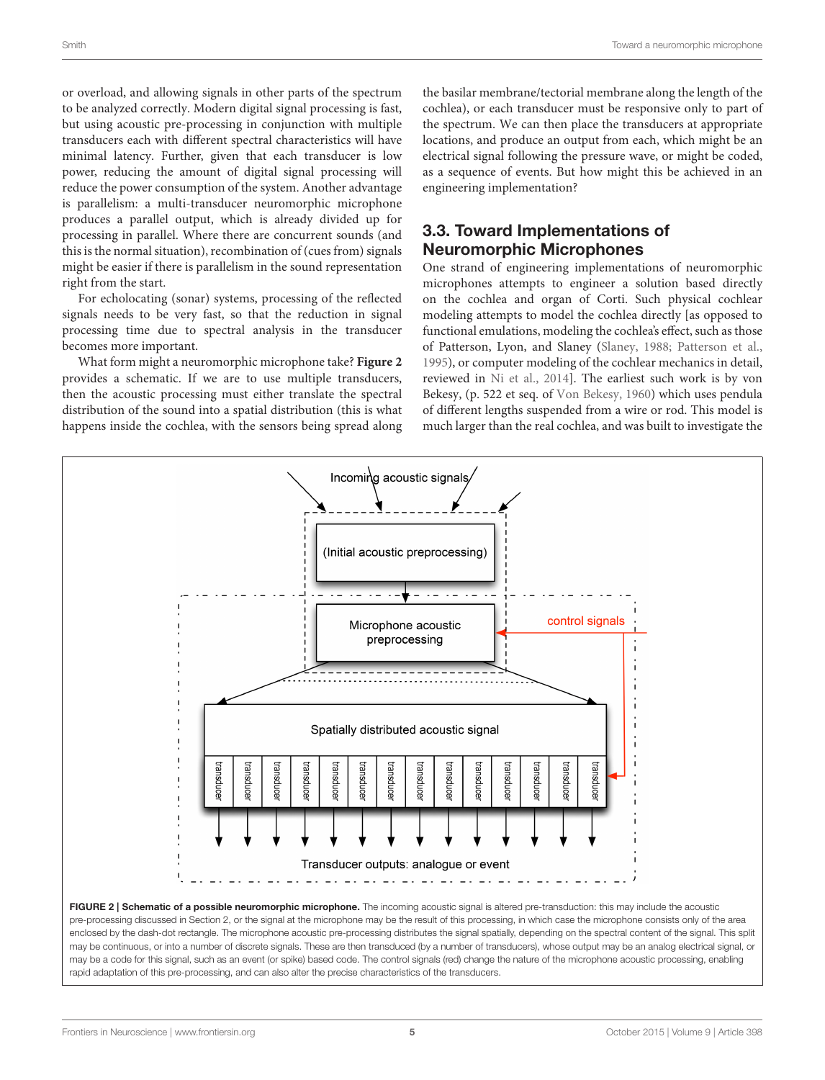or overload, and allowing signals in other parts of the spectrum to be analyzed correctly. Modern digital signal processing is fast, but using acoustic pre-processing in conjunction with multiple transducers each with different spectral characteristics will have minimal latency. Further, given that each transducer is low power, reducing the amount of digital signal processing will reduce the power consumption of the system. Another advantage is parallelism: a multi-transducer neuromorphic microphone produces a parallel output, which is already divided up for processing in parallel. Where there are concurrent sounds (and this is the normal situation), recombination of (cues from) signals might be easier if there is parallelism in the sound representation right from the start.

For echolocating (sonar) systems, processing of the reflected signals needs to be very fast, so that the reduction in signal processing time due to spectral analysis in the transducer becomes more important.

What form might a neuromorphic microphone take? **[Figure 2](#page-4-0)** provides a schematic. If we are to use multiple transducers, then the acoustic processing must either translate the spectral distribution of the sound into a spatial distribution (this is what happens inside the cochlea, with the sensors being spread along the basilar membrane/tectorial membrane along the length of the cochlea), or each transducer must be responsive only to part of the spectrum. We can then place the transducers at appropriate locations, and produce an output from each, which might be an electrical signal following the pressure wave, or might be coded, as a sequence of events. But how might this be achieved in an engineering implementation?

# <span id="page-4-1"></span>3.3. Toward Implementations of Neuromorphic Microphones

One strand of engineering implementations of neuromorphic microphones attempts to engineer a solution based directly on the cochlea and organ of Corti. Such physical cochlear modeling attempts to model the cochlea directly [as opposed to functional emulations, modeling the cochlea's effect, such as those of Patterson, Lyon, and Slaney [\(Slaney, 1988;](#page-9-11) [Patterson et al.,](#page-9-10) [1995\)](#page-9-10), or computer modeling of the cochlear mechanics in detail, reviewed in [Ni et al., 2014\]](#page-9-12). The earliest such work is by von Bekesy, (p. 522 et seq. of [Von Bekesy, 1960\)](#page-9-13) which uses pendula of different lengths suspended from a wire or rod. This model is much larger than the real cochlea, and was built to investigate the



<span id="page-4-0"></span>may be continuous, or into a number of discrete signals. These are then transduced (by a number of transducers), whose output may be an analog electrical signal, or may be a code for this signal, such as an event (or spike) based code. The control signals (red) change the nature of the microphone acoustic processing, enabling rapid adaptation of this pre-processing, and can also alter the precise characteristics of the transducers.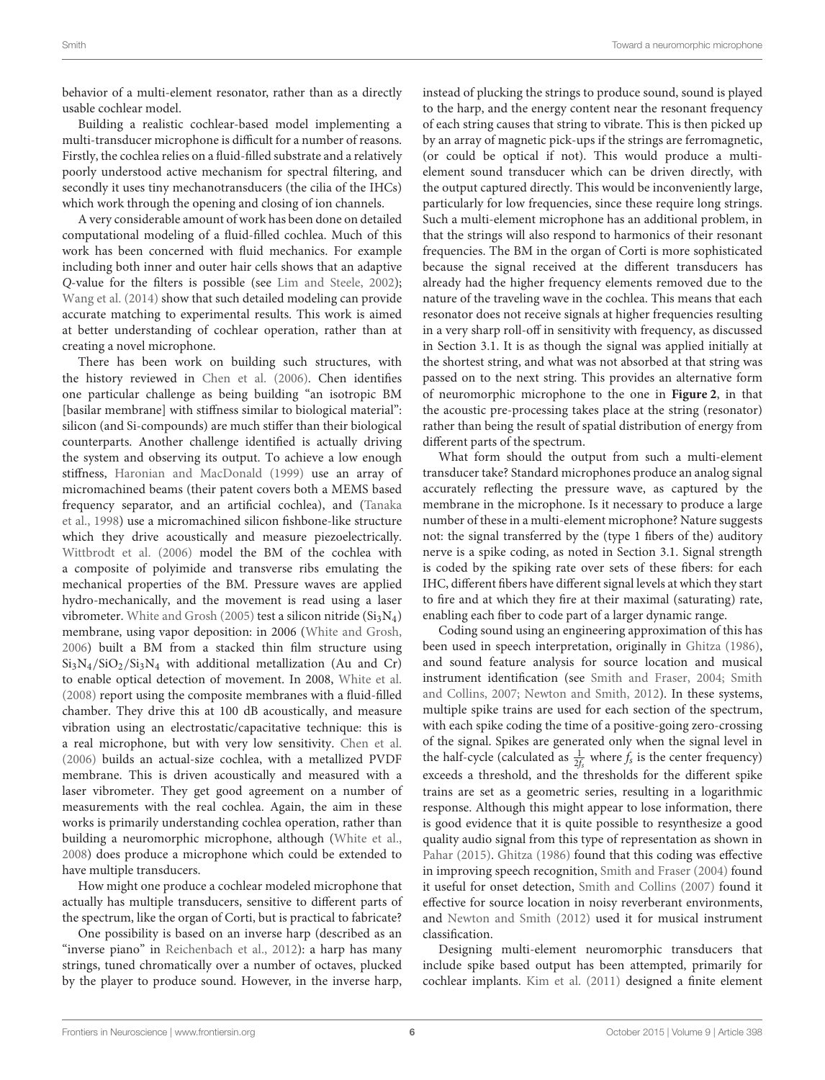behavior of a multi-element resonator, rather than as a directly usable cochlear model.

Building a realistic cochlear-based model implementing a multi-transducer microphone is difficult for a number of reasons. Firstly, the cochlea relies on a fluid-filled substrate and a relatively poorly understood active mechanism for spectral filtering, and secondly it uses tiny mechanotransducers (the cilia of the IHCs) which work through the opening and closing of ion channels.

A very considerable amount of work has been done on detailed computational modeling of a fluid-filled cochlea. Much of this work has been concerned with fluid mechanics. For example including both inner and outer hair cells shows that an adaptive Q-value for the filters is possible (see [Lim and Steele, 2002\)](#page-8-10); [Wang et al. \(2014\)](#page-9-14) show that such detailed modeling can provide accurate matching to experimental results. This work is aimed at better understanding of cochlear operation, rather than at creating a novel microphone.

There has been work on building such structures, with the history reviewed in [Chen et al. \(2006\)](#page-8-11). Chen identifies one particular challenge as being building "an isotropic BM [basilar membrane] with stiffness similar to biological material": silicon (and Si-compounds) are much stiffer than their biological counterparts. Another challenge identified is actually driving the system and observing its output. To achieve a low enough stiffness, [Haronian and MacDonald \(1999\)](#page-8-12) use an array of micromachined beams (their patent covers both a MEMS based frequency separator, and an artificial cochlea), and (Tanaka et al., [1998\)](#page-9-15) use a micromachined silicon fishbone-like structure which they drive acoustically and measure piezoelectrically. [Wittbrodt et al. \(2006\)](#page-9-16) model the BM of the cochlea with a composite of polyimide and transverse ribs emulating the mechanical properties of the BM. Pressure waves are applied hydro-mechanically, and the movement is read using a laser vibrometer. [White and Grosh \(2005\)](#page-9-17) test a silicon nitride  $(Si<sub>3</sub>N<sub>4</sub>)$ membrane, using vapor deposition: in 2006 [\(White and Grosh,](#page-9-18) [2006\)](#page-9-18) built a BM from a stacked thin film structure using  $Si<sub>3</sub>N<sub>4</sub>/SiO<sub>2</sub>/Si<sub>3</sub>N<sub>4</sub>$  with additional metallization (Au and Cr) to enable optical detection of movement. In 2008, [White et al.](#page-9-19) [\(2008\)](#page-9-19) report using the composite membranes with a fluid-filled chamber. They drive this at 100 dB acoustically, and measure vibration using an electrostatic/capacitative technique: this is a real microphone, but with very low sensitivity. [Chen et al.](#page-8-11) [\(2006\)](#page-8-11) builds an actual-size cochlea, with a metallized PVDF membrane. This is driven acoustically and measured with a laser vibrometer. They get good agreement on a number of measurements with the real cochlea. Again, the aim in these works is primarily understanding cochlea operation, rather than building a neuromorphic microphone, although [\(White et al.,](#page-9-19) [2008\)](#page-9-19) does produce a microphone which could be extended to have multiple transducers.

How might one produce a cochlear modeled microphone that actually has multiple transducers, sensitive to different parts of the spectrum, like the organ of Corti, but is practical to fabricate?

One possibility is based on an inverse harp (described as an "inverse piano" in [Reichenbach et al., 2012\)](#page-9-20): a harp has many strings, tuned chromatically over a number of octaves, plucked by the player to produce sound. However, in the inverse harp, instead of plucking the strings to produce sound, sound is played to the harp, and the energy content near the resonant frequency of each string causes that string to vibrate. This is then picked up by an array of magnetic pick-ups if the strings are ferromagnetic, (or could be optical if not). This would produce a multielement sound transducer which can be driven directly, with the output captured directly. This would be inconveniently large, particularly for low frequencies, since these require long strings. Such a multi-element microphone has an additional problem, in that the strings will also respond to harmonics of their resonant frequencies. The BM in the organ of Corti is more sophisticated because the signal received at the different transducers has already had the higher frequency elements removed due to the nature of the traveling wave in the cochlea. This means that each resonator does not receive signals at higher frequencies resulting in a very sharp roll-off in sensitivity with frequency, as discussed in Section [3.1.](#page-2-1) It is as though the signal was applied initially at the shortest string, and what was not absorbed at that string was passed on to the next string. This provides an alternative form of neuromorphic microphone to the one in **[Figure 2](#page-4-0)**, in that the acoustic pre-processing takes place at the string (resonator) rather than being the result of spatial distribution of energy from different parts of the spectrum.

What form should the output from such a multi-element transducer take? Standard microphones produce an analog signal accurately reflecting the pressure wave, as captured by the membrane in the microphone. Is it necessary to produce a large number of these in a multi-element microphone? Nature suggests not: the signal transferred by the (type 1 fibers of the) auditory nerve is a spike coding, as noted in Section [3.1.](#page-2-1) Signal strength is coded by the spiking rate over sets of these fibers: for each IHC, different fibers have different signal levels at which they start to fire and at which they fire at their maximal (saturating) rate, enabling each fiber to code part of a larger dynamic range.

Coding sound using an engineering approximation of this has been used in speech interpretation, originally in [Ghitza \(1986\)](#page-8-13), and sound feature analysis for source location and musical instrument identification (see [Smith and Fraser, 2004;](#page-9-21) Smith and Collins, [2007;](#page-9-6) [Newton and Smith, 2012\)](#page-9-22). In these systems, multiple spike trains are used for each section of the spectrum, with each spike coding the time of a positive-going zero-crossing of the signal. Spikes are generated only when the signal level in the half-cycle (calculated as  $\frac{1}{2f_s}$  where  $f_s$  is the center frequency) exceeds a threshold, and the thresholds for the different spike trains are set as a geometric series, resulting in a logarithmic response. Although this might appear to lose information, there is good evidence that it is quite possible to resynthesize a good quality audio signal from this type of representation as shown in [Pahar \(2015\)](#page-9-23). [Ghitza \(1986\)](#page-8-13) found that this coding was effective in improving speech recognition, [Smith and Fraser \(2004\)](#page-9-21) found it useful for onset detection, [Smith and Collins \(2007\)](#page-9-6) found it effective for source location in noisy reverberant environments, and [Newton and Smith \(2012\)](#page-9-22) used it for musical instrument classification.

Designing multi-element neuromorphic transducers that include spike based output has been attempted, primarily for cochlear implants. [Kim et al. \(2011\)](#page-8-14) designed a finite element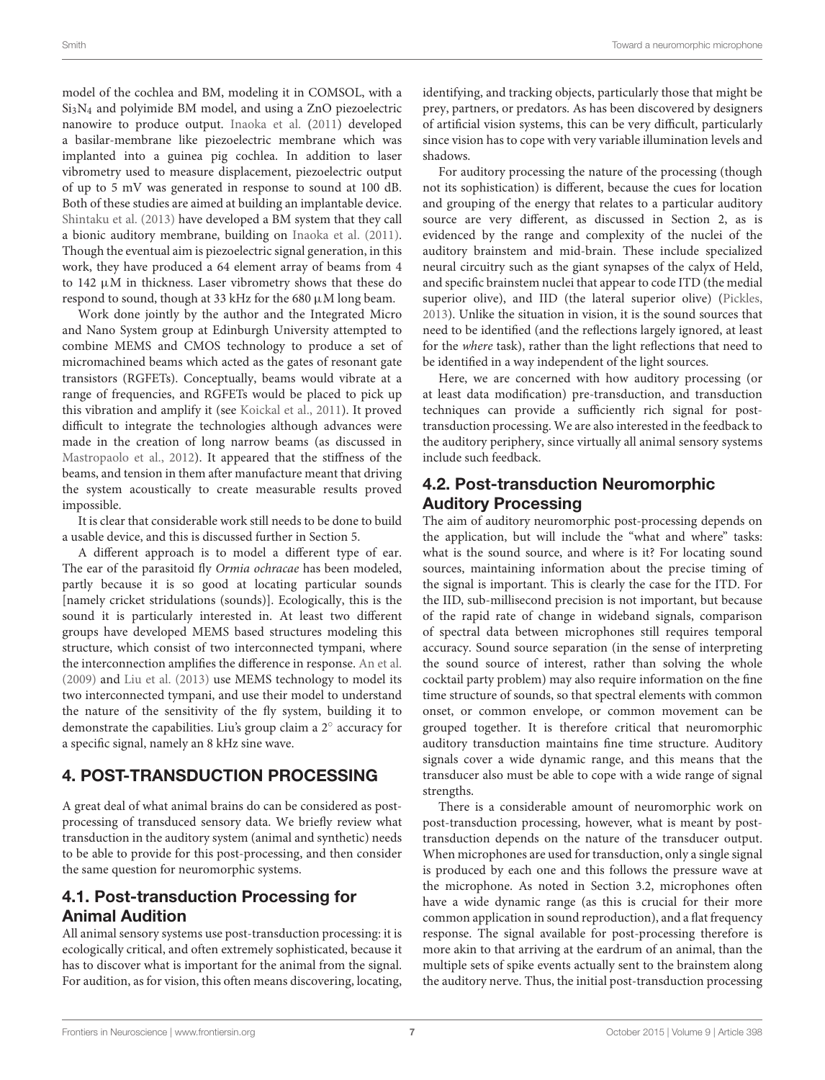model of the cochlea and BM, modeling it in COMSOL, with a Si3N<sup>4</sup> and polyimide BM model, and using a ZnO piezoelectric nanowire to produce output. [Inaoka et al.](#page-8-15) [\(2011\)](#page-8-15) developed a basilar-membrane like piezoelectric membrane which was implanted into a guinea pig cochlea. In addition to laser vibrometry used to measure displacement, piezoelectric output of up to 5 mV was generated in response to sound at 100 dB. Both of these studies are aimed at building an implantable device. [Shintaku et al. \(2013\)](#page-9-24) have developed a BM system that they call a bionic auditory membrane, building on [Inaoka et al. \(2011\)](#page-8-15). Though the eventual aim is piezoelectric signal generation, in this work, they have produced a 64 element array of beams from 4 to 142 µM in thickness. Laser vibrometry shows that these do respond to sound, though at 33 kHz for the 680 µM long beam.

Work done jointly by the author and the Integrated Micro and Nano System group at Edinburgh University attempted to combine MEMS and CMOS technology to produce a set of micromachined beams which acted as the gates of resonant gate transistors (RGFETs). Conceptually, beams would vibrate at a range of frequencies, and RGFETs would be placed to pick up this vibration and amplify it (see [Koickal et al., 2011\)](#page-8-16). It proved difficult to integrate the technologies although advances were made in the creation of long narrow beams (as discussed in [Mastropaolo et al., 2012\)](#page-9-25). It appeared that the stiffness of the beams, and tension in them after manufacture meant that driving the system acoustically to create measurable results proved impossible.

It is clear that considerable work still needs to be done to build a usable device, and this is discussed further in Section [5.](#page-7-0)

A different approach is to model a different type of ear. The ear of the parasitoid fly Ormia ochracae has been modeled, partly because it is so good at locating particular sounds [namely cricket stridulations (sounds)]. Ecologically, this is the sound it is particularly interested in. At least two different groups have developed MEMS based structures modeling this structure, which consist of two interconnected tympani, where the interconnection amplifies the difference in response. [An et al.](#page-8-17) [\(2009\)](#page-8-17) and [Liu et al. \(2013\)](#page-8-18) use MEMS technology to model its two interconnected tympani, and use their model to understand the nature of the sensitivity of the fly system, building it to demonstrate the capabilities. Liu's group claim a 2◦ accuracy for a specific signal, namely an 8 kHz sine wave.

#### <span id="page-6-0"></span>4. POST-TRANSDUCTION PROCESSING

A great deal of what animal brains do can be considered as postprocessing of transduced sensory data. We briefly review what transduction in the auditory system (animal and synthetic) needs to be able to provide for this post-processing, and then consider the same question for neuromorphic systems.

## 4.1. Post-transduction Processing for Animal Audition

All animal sensory systems use post-transduction processing: it is ecologically critical, and often extremely sophisticated, because it has to discover what is important for the animal from the signal. For audition, as for vision, this often means discovering, locating, identifying, and tracking objects, particularly those that might be prey, partners, or predators. As has been discovered by designers of artificial vision systems, this can be very difficult, particularly since vision has to cope with very variable illumination levels and shadows.

For auditory processing the nature of the processing (though not its sophistication) is different, because the cues for location and grouping of the energy that relates to a particular auditory source are very different, as discussed in Section [2,](#page-1-1) as is evidenced by the range and complexity of the nuclei of the auditory brainstem and mid-brain. These include specialized neural circuitry such as the giant synapses of the calyx of Held, and specific brainstem nuclei that appear to code ITD (the medial superior olive), and IID (the lateral superior olive) [\(Pickles,](#page-9-26) [2013\)](#page-9-26). Unlike the situation in vision, it is the sound sources that need to be identified (and the reflections largely ignored, at least for the where task), rather than the light reflections that need to be identified in a way independent of the light sources.

Here, we are concerned with how auditory processing (or at least data modification) pre-transduction, and transduction techniques can provide a sufficiently rich signal for posttransduction processing. We are also interested in the feedback to the auditory periphery, since virtually all animal sensory systems include such feedback.

## 4.2. Post-transduction Neuromorphic Auditory Processing

The aim of auditory neuromorphic post-processing depends on the application, but will include the "what and where" tasks: what is the sound source, and where is it? For locating sound sources, maintaining information about the precise timing of the signal is important. This is clearly the case for the ITD. For the IID, sub-millisecond precision is not important, but because of the rapid rate of change in wideband signals, comparison of spectral data between microphones still requires temporal accuracy. Sound source separation (in the sense of interpreting the sound source of interest, rather than solving the whole cocktail party problem) may also require information on the fine time structure of sounds, so that spectral elements with common onset, or common envelope, or common movement can be grouped together. It is therefore critical that neuromorphic auditory transduction maintains fine time structure. Auditory signals cover a wide dynamic range, and this means that the transducer also must be able to cope with a wide range of signal strengths.

There is a considerable amount of neuromorphic work on post-transduction processing, however, what is meant by posttransduction depends on the nature of the transducer output. When microphones are used for transduction, only a single signal is produced by each one and this follows the pressure wave at the microphone. As noted in Section [3.2,](#page-3-0) microphones often have a wide dynamic range (as this is crucial for their more common application in sound reproduction), and a flat frequency response. The signal available for post-processing therefore is more akin to that arriving at the eardrum of an animal, than the multiple sets of spike events actually sent to the brainstem along the auditory nerve. Thus, the initial post-transduction processing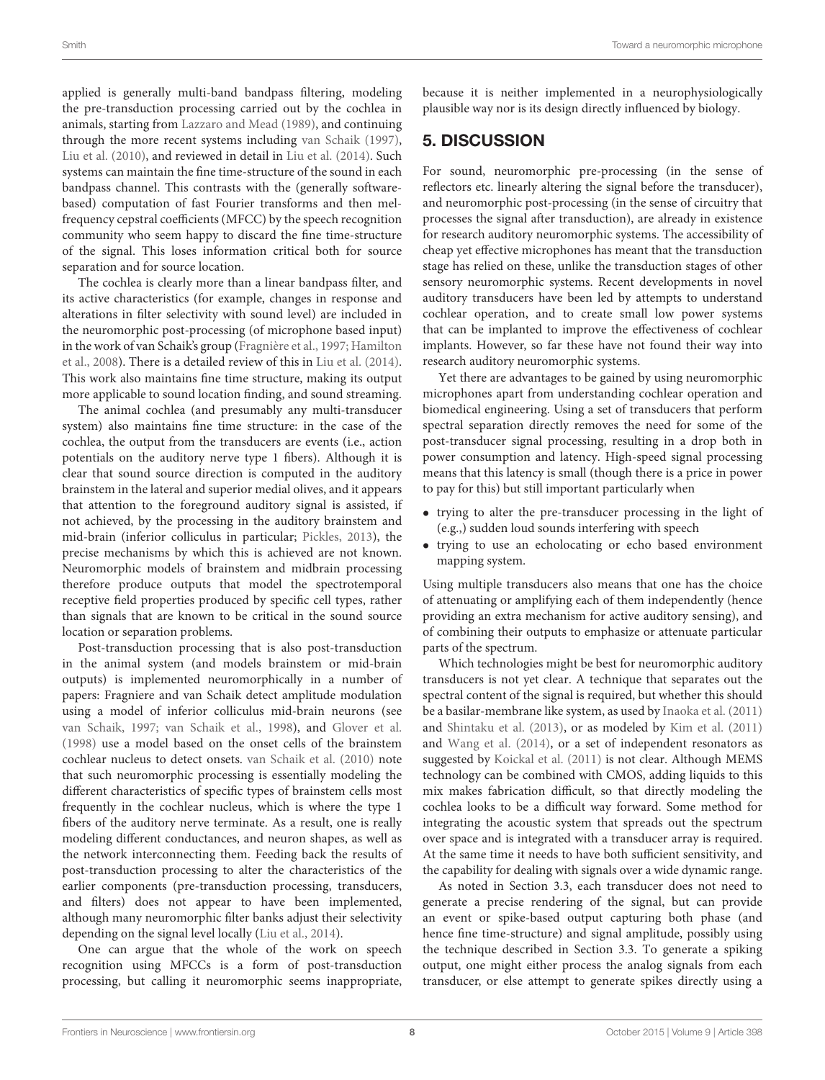applied is generally multi-band bandpass filtering, modeling the pre-transduction processing carried out by the cochlea in animals, starting from [Lazzaro and Mead \(1989\)](#page-8-19), and continuing through the more recent systems including [van Schaik \(1997\)](#page-9-27), [Liu et al. \(2010\)](#page-8-20), and reviewed in detail in [Liu et al. \(2014\)](#page-8-21). Such systems can maintain the fine time-structure of the sound in each bandpass channel. This contrasts with the (generally softwarebased) computation of fast Fourier transforms and then melfrequency cepstral coefficients (MFCC) by the speech recognition community who seem happy to discard the fine time-structure of the signal. This loses information critical both for source separation and for source location.

The cochlea is clearly more than a linear bandpass filter, and its active characteristics (for example, changes in response and alterations in filter selectivity with sound level) are included in the neuromorphic post-processing (of microphone based input) in the work of van Schaik's group [\(Fragnière et al., 1997;](#page-8-22) Hamilton et al., [2008\)](#page-8-23). There is a detailed review of this in [Liu et al. \(2014\)](#page-8-21). This work also maintains fine time structure, making its output more applicable to sound location finding, and sound streaming.

The animal cochlea (and presumably any multi-transducer system) also maintains fine time structure: in the case of the cochlea, the output from the transducers are events (i.e., action potentials on the auditory nerve type 1 fibers). Although it is clear that sound source direction is computed in the auditory brainstem in the lateral and superior medial olives, and it appears that attention to the foreground auditory signal is assisted, if not achieved, by the processing in the auditory brainstem and mid-brain (inferior colliculus in particular; [Pickles, 2013\)](#page-9-26), the precise mechanisms by which this is achieved are not known. Neuromorphic models of brainstem and midbrain processing therefore produce outputs that model the spectrotemporal receptive field properties produced by specific cell types, rather than signals that are known to be critical in the sound source location or separation problems.

Post-transduction processing that is also post-transduction in the animal system (and models brainstem or mid-brain outputs) is implemented neuromorphically in a number of papers: Fragniere and van Schaik detect amplitude modulation using a model of inferior colliculus mid-brain neurons (see [van Schaik, 1997;](#page-9-27) [van Schaik et al., 1998\)](#page-9-28), and [Glover et al.](#page-8-24) [\(1998\)](#page-8-24) use a model based on the onset cells of the brainstem cochlear nucleus to detect onsets. [van Schaik et al. \(2010\)](#page-9-29) note that such neuromorphic processing is essentially modeling the different characteristics of specific types of brainstem cells most frequently in the cochlear nucleus, which is where the type 1 fibers of the auditory nerve terminate. As a result, one is really modeling different conductances, and neuron shapes, as well as the network interconnecting them. Feeding back the results of post-transduction processing to alter the characteristics of the earlier components (pre-transduction processing, transducers, and filters) does not appear to have been implemented, although many neuromorphic filter banks adjust their selectivity depending on the signal level locally [\(Liu et al., 2014\)](#page-8-21).

One can argue that the whole of the work on speech recognition using MFCCs is a form of post-transduction processing, but calling it neuromorphic seems inappropriate, because it is neither implemented in a neurophysiologically plausible way nor is its design directly influenced by biology.

## <span id="page-7-0"></span>5. DISCUSSION

For sound, neuromorphic pre-processing (in the sense of reflectors etc. linearly altering the signal before the transducer), and neuromorphic post-processing (in the sense of circuitry that processes the signal after transduction), are already in existence for research auditory neuromorphic systems. The accessibility of cheap yet effective microphones has meant that the transduction stage has relied on these, unlike the transduction stages of other sensory neuromorphic systems. Recent developments in novel auditory transducers have been led by attempts to understand cochlear operation, and to create small low power systems that can be implanted to improve the effectiveness of cochlear implants. However, so far these have not found their way into research auditory neuromorphic systems.

Yet there are advantages to be gained by using neuromorphic microphones apart from understanding cochlear operation and biomedical engineering. Using a set of transducers that perform spectral separation directly removes the need for some of the post-transducer signal processing, resulting in a drop both in power consumption and latency. High-speed signal processing means that this latency is small (though there is a price in power to pay for this) but still important particularly when

- trying to alter the pre-transducer processing in the light of (e.g.,) sudden loud sounds interfering with speech
- trying to use an echolocating or echo based environment mapping system.

Using multiple transducers also means that one has the choice of attenuating or amplifying each of them independently (hence providing an extra mechanism for active auditory sensing), and of combining their outputs to emphasize or attenuate particular parts of the spectrum.

Which technologies might be best for neuromorphic auditory transducers is not yet clear. A technique that separates out the spectral content of the signal is required, but whether this should be a basilar-membrane like system, as used by [Inaoka et al. \(2011\)](#page-8-15) and [Shintaku et al. \(2013\)](#page-9-24), or as modeled by [Kim et al. \(2011\)](#page-8-14) and [Wang et al. \(2014\)](#page-9-14), or a set of independent resonators as suggested by [Koickal et al. \(2011\)](#page-8-16) is not clear. Although MEMS technology can be combined with CMOS, adding liquids to this mix makes fabrication difficult, so that directly modeling the cochlea looks to be a difficult way forward. Some method for integrating the acoustic system that spreads out the spectrum over space and is integrated with a transducer array is required. At the same time it needs to have both sufficient sensitivity, and the capability for dealing with signals over a wide dynamic range.

As noted in Section [3.3,](#page-4-1) each transducer does not need to generate a precise rendering of the signal, but can provide an event or spike-based output capturing both phase (and hence fine time-structure) and signal amplitude, possibly using the technique described in Section [3.3.](#page-4-1) To generate a spiking output, one might either process the analog signals from each transducer, or else attempt to generate spikes directly using a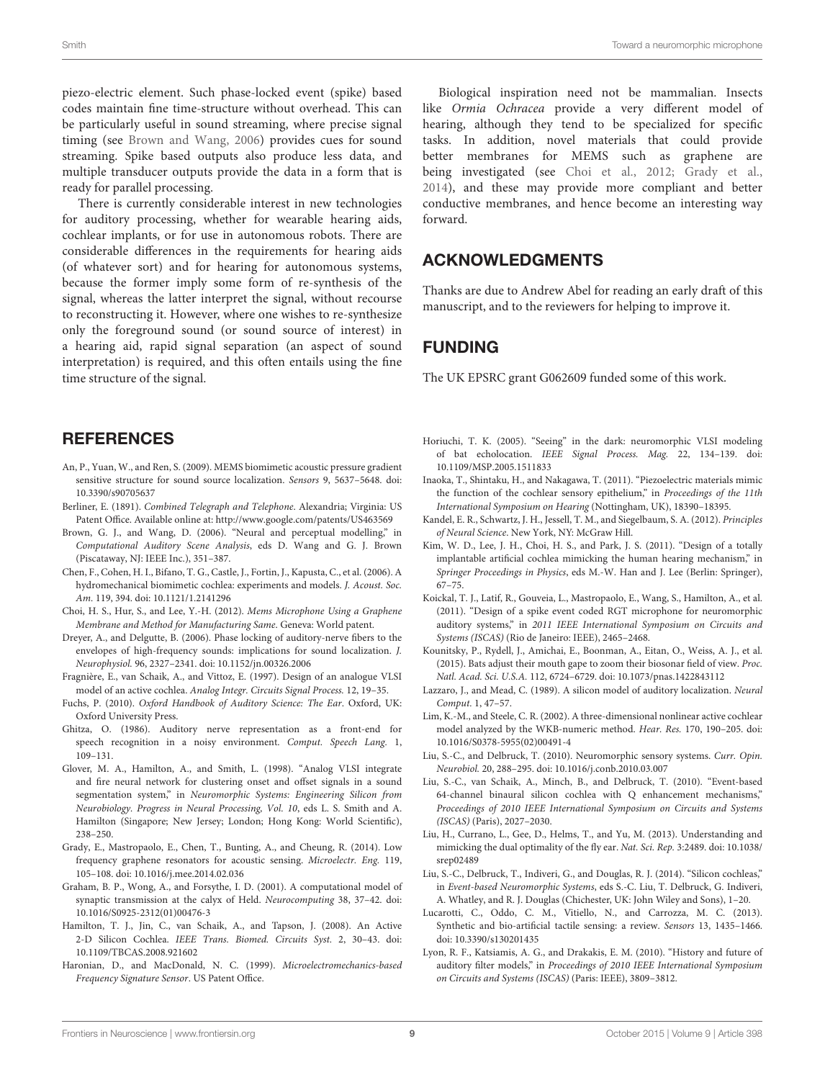piezo-electric element. Such phase-locked event (spike) based codes maintain fine time-structure without overhead. This can be particularly useful in sound streaming, where precise signal timing (see [Brown and Wang, 2006\)](#page-8-25) provides cues for sound streaming. Spike based outputs also produce less data, and multiple transducer outputs provide the data in a form that is ready for parallel processing.

There is currently considerable interest in new technologies for auditory processing, whether for wearable hearing aids, cochlear implants, or for use in autonomous robots. There are considerable differences in the requirements for hearing aids (of whatever sort) and for hearing for autonomous systems, because the former imply some form of re-synthesis of the signal, whereas the latter interpret the signal, without recourse to reconstructing it. However, where one wishes to re-synthesize only the foreground sound (or sound source of interest) in a hearing aid, rapid signal separation (an aspect of sound interpretation) is required, and this often entails using the fine time structure of the signal.

#### **REFERENCES**

- <span id="page-8-17"></span>An, P., Yuan, W., and Ren, S. (2009). MEMS biomimetic acoustic pressure gradient sensitive structure for sound source localization. Sensors 9, 5637–5648. doi: 10.3390/s90705637
- <span id="page-8-8"></span>Berliner, E. (1891). Combined Telegraph and Telephone. Alexandria; Virginia: US Patent Office. Available online at:<http://www.google.com/patents/US463569>
- <span id="page-8-25"></span>Brown, G. J., and Wang, D. (2006). "Neural and perceptual modelling," in Computational Auditory Scene Analysis, eds D. Wang and G. J. Brown (Piscataway, NJ: IEEE Inc.), 351–387.
- <span id="page-8-11"></span>Chen, F., Cohen, H. I., Bifano, T. G., Castle, J., Fortin, J., Kapusta, C., et al. (2006). A hydromechanical biomimetic cochlea: experiments and models. J. Acoust. Soc. Am. 119, 394. doi: 10.1121/1.2141296
- <span id="page-8-26"></span>Choi, H. S., Hur, S., and Lee, Y.-H. (2012). Mems Microphone Using a Graphene Membrane and Method for Manufacturing Same. Geneva: World patent.
- <span id="page-8-6"></span>Dreyer, A., and Delgutte, B. (2006). Phase locking of auditory-nerve fibers to the envelopes of high-frequency sounds: implications for sound localization. J. Neurophysiol. 96, 2327–2341. doi: 10.1152/jn.00326.2006
- <span id="page-8-22"></span>Fragnière, E., van Schaik, A., and Vittoz, E. (1997). Design of an analogue VLSI model of an active cochlea. Analog Integr. Circuits Signal Process. 12, 19–35.
- <span id="page-8-5"></span>Fuchs, P. (2010). Oxford Handbook of Auditory Science: The Ear. Oxford, UK: Oxford University Press.
- <span id="page-8-13"></span>Ghitza, O. (1986). Auditory nerve representation as a front-end for speech recognition in a noisy environment. Comput. Speech Lang. 1, 109–131.
- <span id="page-8-24"></span>Glover, M. A., Hamilton, A., and Smith, L. (1998). "Analog VLSI integrate and fire neural network for clustering onset and offset signals in a sound segmentation system," in Neuromorphic Systems: Engineering Silicon from Neurobiology. Progress in Neural Processing, Vol. 10, eds L. S. Smith and A. Hamilton (Singapore; New Jersey; London; Hong Kong: World Scientific), 238–250.
- <span id="page-8-27"></span>Grady, E., Mastropaolo, E., Chen, T., Bunting, A., and Cheung, R. (2014). Low frequency graphene resonators for acoustic sensing. Microelectr. Eng. 119, 105–108. doi: 10.1016/j.mee.2014.02.036
- <span id="page-8-2"></span>Graham, B. P., Wong, A., and Forsythe, I. D. (2001). A computational model of synaptic transmission at the calyx of Held. Neurocomputing 38, 37–42. doi: 10.1016/S0925-2312(01)00476-3
- <span id="page-8-23"></span>Hamilton, T. J., Jin, C., van Schaik, A., and Tapson, J. (2008). An Active 2-D Silicon Cochlea. IEEE Trans. Biomed. Circuits Syst. 2, 30–43. doi: 10.1109/TBCAS.2008.921602
- <span id="page-8-12"></span>Haronian, D., and MacDonald, N. C. (1999). Microelectromechanics-based Frequency Signature Sensor. US Patent Office.

Biological inspiration need not be mammalian. Insects like Ormia Ochracea provide a very different model of hearing, although they tend to be specialized for specific tasks. In addition, novel materials that could provide better membranes for MEMS such as graphene are being investigated (see [Choi et al., 2012;](#page-8-26) [Grady et al.,](#page-8-27) [2014\)](#page-8-27), and these may provide more compliant and better conductive membranes, and hence become an interesting way forward.

#### ACKNOWLEDGMENTS

Thanks are due to Andrew Abel for reading an early draft of this manuscript, and to the reviewers for helping to improve it.

#### FUNDING

The UK EPSRC grant G062609 funded some of this work.

- <span id="page-8-1"></span>Horiuchi, T. K. (2005). "Seeing" in the dark: neuromorphic VLSI modeling of bat echolocation. IEEE Signal Process. Mag. 22, 134–139. doi: 10.1109/MSP.2005.1511833
- <span id="page-8-15"></span>Inaoka, T., Shintaku, H., and Nakagawa, T. (2011). "Piezoelectric materials mimic the function of the cochlear sensory epithelium," in Proceedings of the 11th International Symposium on Hearing (Nottingham, UK), 18390–18395.
- <span id="page-8-4"></span>Kandel, E. R., Schwartz, J. H., Jessell, T. M., and Siegelbaum, S. A. (2012). Principles of Neural Science. New York, NY: McGraw Hill.
- <span id="page-8-14"></span>Kim, W. D., Lee, J. H., Choi, H. S., and Park, J. S. (2011). "Design of a totally implantable artificial cochlea mimicking the human hearing mechanism," in Springer Proceedings in Physics, eds M.-W. Han and J. Lee (Berlin: Springer), 67–75.
- <span id="page-8-16"></span>Koickal, T. J., Latif, R., Gouveia, L., Mastropaolo, E., Wang, S., Hamilton, A., et al. (2011). "Design of a spike event coded RGT microphone for neuromorphic auditory systems," in 2011 IEEE International Symposium on Circuits and Systems (ISCAS) (Rio de Janeiro: IEEE), 2465–2468.
- <span id="page-8-3"></span>Kounitsky, P., Rydell, J., Amichai, E., Boonman, A., Eitan, O., Weiss, A. J., et al. (2015). Bats adjust their mouth gape to zoom their biosonar field of view. Proc. Natl. Acad. Sci. U.S.A. 112, 6724–6729. doi: 10.1073/pnas.1422843112
- <span id="page-8-19"></span>Lazzaro, J., and Mead, C. (1989). A silicon model of auditory localization. Neural Comput. 1, 47–57.
- <span id="page-8-10"></span>Lim, K.-M., and Steele, C. R. (2002). A three-dimensional nonlinear active cochlear model analyzed by the WKB-numeric method. Hear. Res. 170, 190–205. doi: 10.1016/S0378-5955(02)00491-4
- <span id="page-8-0"></span>Liu, S.-C., and Delbruck, T. (2010). Neuromorphic sensory systems. Curr. Opin. Neurobiol. 20, 288–295. doi: 10.1016/j.conb.2010.03.007
- <span id="page-8-20"></span>Liu, S.-C., van Schaik, A., Minch, B., and Delbruck, T. (2010). "Event-based 64-channel binaural silicon cochlea with Q enhancement mechanisms," Proceedings of 2010 IEEE International Symposium on Circuits and Systems (ISCAS) (Paris), 2027–2030.
- <span id="page-8-18"></span>Liu, H., Currano, L., Gee, D., Helms, T., and Yu, M. (2013). Understanding and mimicking the dual optimality of the fly ear. Nat. Sci. Rep. 3:2489. doi: 10.1038/ srep02489
- <span id="page-8-21"></span>Liu, S.-C., Delbruck, T., Indiveri, G., and Douglas, R. J. (2014). "Silicon cochleas," in Event-based Neuromorphic Systems, eds S.-C. Liu, T. Delbruck, G. Indiveri, A. Whatley, and R. J. Douglas (Chichester, UK: John Wiley and Sons), 1–20.
- <span id="page-8-7"></span>Lucarotti, C., Oddo, C. M., Vitiello, N., and Carrozza, M. C. (2013). Synthetic and bio-artificial tactile sensing: a review. Sensors 13, 1435–1466. doi: 10.3390/s130201435
- <span id="page-8-9"></span>Lyon, R. F., Katsiamis, A. G., and Drakakis, E. M. (2010). "History and future of auditory filter models," in Proceedings of 2010 IEEE International Symposium on Circuits and Systems (ISCAS) (Paris: IEEE), 3809–3812.